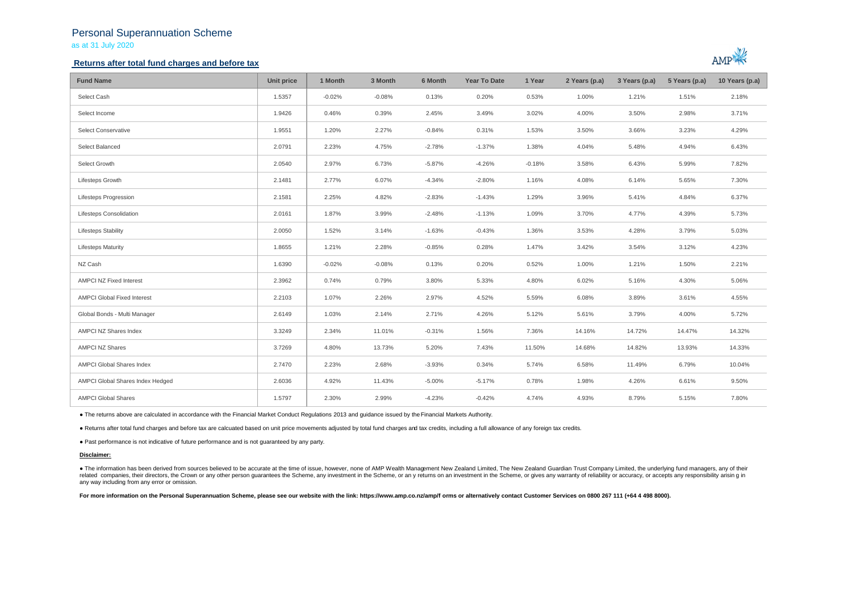## Personal Superannuation Scheme as at 31 July 2020

## **Returns after total fund charges and before tax**



| <b>Fund Name</b>                   | Unit price | 1 Month  | 3 Month  | 6 Month  | <b>Year To Date</b> | 1 Year   | 2 Years (p.a) | 3 Years (p.a) | 5 Years (p.a) | 10 Years (p.a) |
|------------------------------------|------------|----------|----------|----------|---------------------|----------|---------------|---------------|---------------|----------------|
| Select Cash                        | 1.5357     | $-0.02%$ | $-0.08%$ | 0.13%    | 0.20%               | 0.53%    | 1.00%         | 1.21%         | 1.51%         | 2.18%          |
| Select Income                      | 1.9426     | 0.46%    | 0.39%    | 2.45%    | 3.49%               | 3.02%    | 4.00%         | 3.50%         | 2.98%         | 3.71%          |
| Select Conservative                | 1.9551     | 1.20%    | 2.27%    | $-0.84%$ | 0.31%               | 1.53%    | 3.50%         | 3.66%         | 3.23%         | 4.29%          |
| Select Balanced                    | 2.0791     | 2.23%    | 4.75%    | $-2.78%$ | $-1.37%$            | 1.38%    | 4.04%         | 5.48%         | 4.94%         | 6.43%          |
| Select Growth                      | 2.0540     | 2.97%    | 6.73%    | $-5.87%$ | $-4.26%$            | $-0.18%$ | 3.58%         | 6.43%         | 5.99%         | 7.82%          |
| Lifesteps Growth                   | 2.1481     | 2.77%    | 6.07%    | $-4.34%$ | $-2.80%$            | 1.16%    | 4.08%         | 6.14%         | 5.65%         | 7.30%          |
| Lifesteps Progression              | 2.1581     | 2.25%    | 4.82%    | $-2.83%$ | $-1.43%$            | 1.29%    | 3.96%         | 5.41%         | 4.84%         | 6.37%          |
| Lifesteps Consolidation            | 2.0161     | 1.87%    | 3.99%    | $-2.48%$ | $-1.13%$            | 1.09%    | 3.70%         | 4.77%         | 4.39%         | 5.73%          |
| <b>Lifesteps Stability</b>         | 2.0050     | 1.52%    | 3.14%    | $-1.63%$ | $-0.43%$            | 1.36%    | 3.53%         | 4.28%         | 3.79%         | 5.03%          |
| <b>Lifesteps Maturity</b>          | 1.8655     | 1.21%    | 2.28%    | $-0.85%$ | 0.28%               | 1.47%    | 3.42%         | 3.54%         | 3.12%         | 4.23%          |
| NZ Cash                            | 1.6390     | $-0.02%$ | $-0.08%$ | 0.13%    | 0.20%               | 0.52%    | 1.00%         | 1.21%         | 1.50%         | 2.21%          |
| <b>AMPCI NZ Fixed Interest</b>     | 2.3962     | 0.74%    | 0.79%    | 3.80%    | 5.33%               | 4.80%    | 6.02%         | 5.16%         | 4.30%         | 5.06%          |
| <b>AMPCI Global Fixed Interest</b> | 2.2103     | 1.07%    | 2.26%    | 2.97%    | 4.52%               | 5.59%    | 6.08%         | 3.89%         | 3.61%         | 4.55%          |
| Global Bonds - Multi Manager       | 2.6149     | 1.03%    | 2.14%    | 2.71%    | 4.26%               | 5.12%    | 5.61%         | 3.79%         | 4.00%         | 5.72%          |
| AMPCI NZ Shares Index              | 3.3249     | 2.34%    | 11.01%   | $-0.31%$ | 1.56%               | 7.36%    | 14.16%        | 14.72%        | 14.47%        | 14.32%         |
| <b>AMPCI NZ Shares</b>             | 3.7269     | 4.80%    | 13.73%   | 5.20%    | 7.43%               | 11.50%   | 14.68%        | 14.82%        | 13.93%        | 14.33%         |
| AMPCI Global Shares Index          | 2.7470     | 2.23%    | 2.68%    | $-3.93%$ | 0.34%               | 5.74%    | 6.58%         | 11.49%        | 6.79%         | 10.04%         |
| AMPCI Global Shares Index Hedged   | 2.6036     | 4.92%    | 11.43%   | $-5.00%$ | $-5.17%$            | 0.78%    | 1.98%         | 4.26%         | 6.61%         | 9.50%          |
| <b>AMPCI Global Shares</b>         | 1.5797     | 2.30%    | 2.99%    | $-4.23%$ | $-0.42%$            | 4.74%    | 4.93%         | 8.79%         | 5.15%         | 7.80%          |

● The returns above are calculated in accordance with the Financial Market Conduct Regulations 2013 and guidance issued by the Financial Markets Authority.

● Returns after total fund charges and before tax are calcuated based on unit price movements adjusted by total fund charges and tax credits, including a full allowance of any foreign tax credits.

● Past performance is not indicative of future performance and is not guaranteed by any party.

### **Disclaimer:**

. The information has been derived from sources believed to be accurate at the time of issue, however, none of AMP Wealth Management New Zealand Limited, The New Zealand Guardian Trust Company Limited, the underlying fund related companies, their directors, the Crown or any other person quarantees the Scheme, any investment in the Scheme, or any returns on an investment in the Scheme, or qives any warranty of reliability or accuracy, or acc any way including from any error or omission.

For more information on the Personal Superannuation Scheme, please see our website with the link: https://www.amp.co.nz/amp/f orms or alternatively contact Customer Services on 0800 267 111 (+64 4 498 8000).